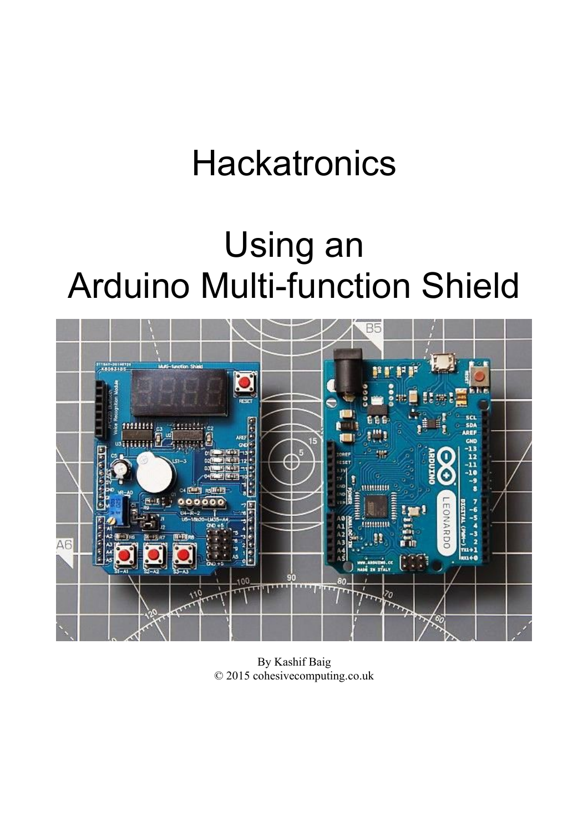# **Hackatronics**

# Using an Arduino Multi-function Shield



By Kashif Baig © 2015 cohesivecomputing.co.uk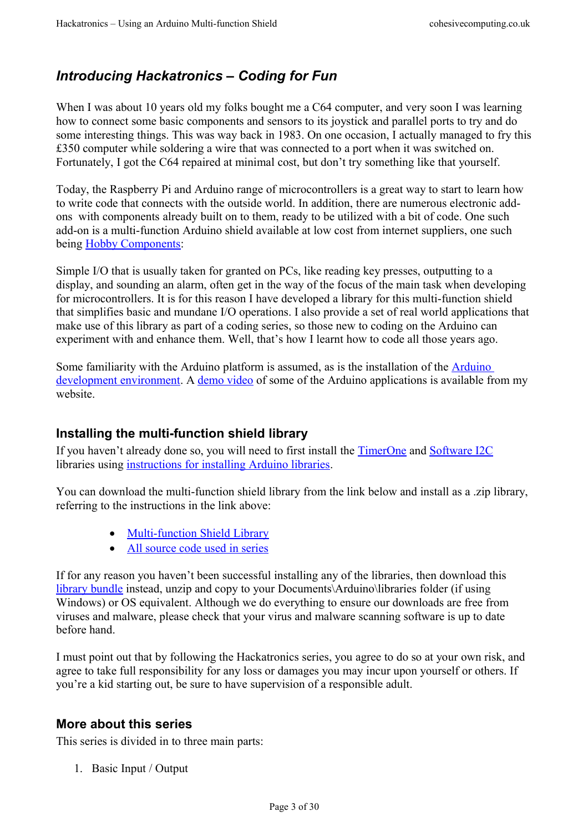## <span id="page-2-0"></span>*Introducing Hackatronics – Coding for Fun*

When I was about 10 years old my folks bought me a C64 computer, and very soon I was learning how to connect some basic components and sensors to its joystick and parallel ports to try and do some interesting things. This was way back in 1983. On one occasion, I actually managed to fry this £350 computer while soldering a wire that was connected to a port when it was switched on. Fortunately, I got the C64 repaired at minimal cost, but don't try something like that yourself.

Today, the Raspberry Pi and Arduino range of microcontrollers is a great way to start to learn how to write code that connects with the outside world. In addition, there are numerous electronic addons with components already built on to them, ready to be utilized with a bit of code. One such add-on is a multi-function Arduino shield available at low cost from internet suppliers, one such being [Hobby Components:](http://hobbycomponents.com/shields/461-multifunction-shield-for-arduino-uno-leonardo)

Simple I/O that is usually taken for granted on PCs, like reading key presses, outputting to a display, and sounding an alarm, often get in the way of the focus of the main task when developing for microcontrollers. It is for this reason I have developed a library for this multi-function shield that simplifies basic and mundane I/O operations. I also provide a set of real world applications that make use of this library as part of a coding series, so those new to coding on the Arduino can experiment with and enhance them. Well, that's how I learnt how to code all those years ago.

Some familiarity with the Arduino platform is assumed, as is the installation of the [Arduino](https://www.arduino.cc/en/Main/Software)  [development environment.](https://www.arduino.cc/en/Main/Software) A [demo video](http://www.cohesivecomputing.co.uk/hackatronics/arduino-multi-function-shield/) of some of the Arduino applications is available from my website.

#### <span id="page-2-2"></span>**Installing the multi-function shield library**

If you haven't already done so, you will need to first install the [TimerOne](https://github.com/PaulStoffregen/TimerOne) and [Software I2C](http://playground.arduino.cc/Main/SoftwareI2CLibrary) libraries using [instructions for installing Arduino libraries.](https://www.arduino.cc/en/guide/libraries)

You can download the multi-function shield library from the link below and install as a .zip library, referring to the instructions in the link above:

- [Multi-function Shield Library](http://files.cohesivecomputing.co.uk/MultiFuncShield-Library.zip)
- [All source code used in series](http://files.cohesivecomputing.co.uk/Hackatronics-Using-Arduino-Multi-function-Shield.zip)

If for any reason you haven't been successful installing any of the libraries, then download this [library bundle](http://files.cohesivecomputing.co.uk/Multi-function-shield-library-bundle.zip) instead, unzip and copy to your Documents\Arduino\libraries folder (if using Windows) or OS equivalent. Although we do everything to ensure our downloads are free from viruses and malware, please check that your virus and malware scanning software is up to date before hand.

I must point out that by following the Hackatronics series, you agree to do so at your own risk, and agree to take full responsibility for any loss or damages you may incur upon yourself or others. If you're a kid starting out, be sure to have supervision of a responsible adult.

#### <span id="page-2-1"></span>**More about this series**

This series is divided in to three main parts:

1. Basic Input / Output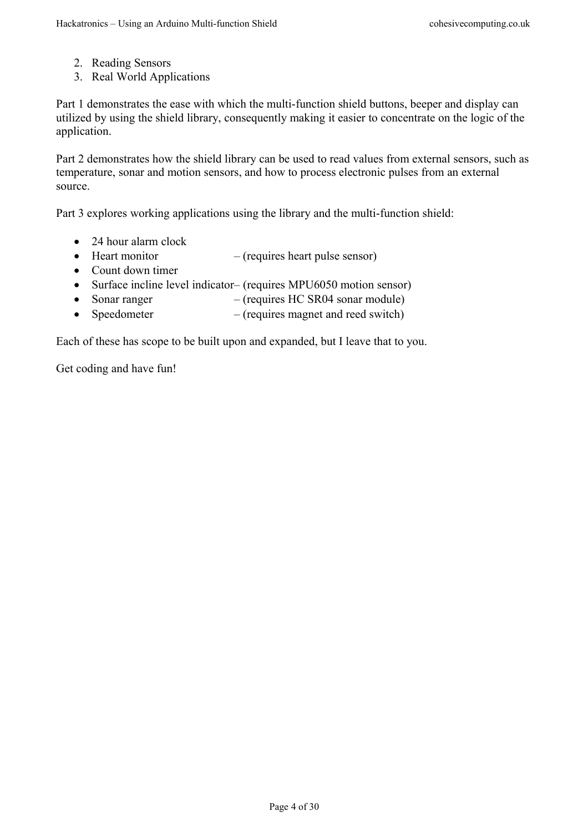- 2. Reading Sensors
- 3. Real World Applications

Part 1 demonstrates the ease with which the multi-function shield buttons, beeper and display can utilized by using the shield library, consequently making it easier to concentrate on the logic of the application.

Part 2 demonstrates how the shield library can be used to read values from external sensors, such as temperature, sonar and motion sensors, and how to process electronic pulses from an external source.

Part 3 explores working applications using the library and the multi-function shield:

- 24 hour alarm clock
- $\bullet$  Heart monitor (requires heart pulse sensor)
- Count down timer
- Surface incline level indicator– (requires MPU6050 motion sensor)
- Sonar ranger (requires HC SR04 sonar module)
- Speedometer (requires magnet and reed switch)

Each of these has scope to be built upon and expanded, but I leave that to you.

Get coding and have fun!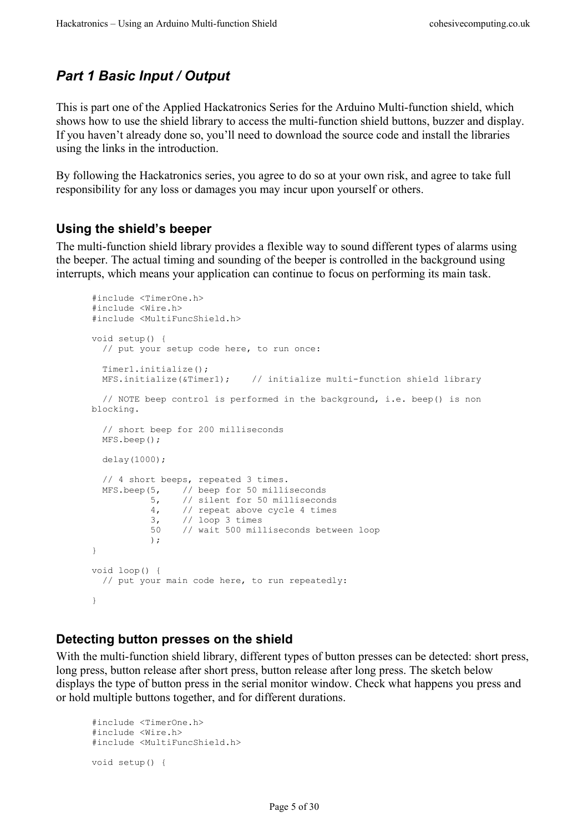## <span id="page-4-2"></span>*Part 1 Basic Input / Output*

This is part one of the Applied Hackatronics Series for the Arduino Multi-function shield, which shows how to use the shield library to access the multi-function shield buttons, buzzer and display. If you haven't already done so, you'll need to download the source code and install the libraries using the links in the introduction.

By following the Hackatronics series, you agree to do so at your own risk, and agree to take full responsibility for any loss or damages you may incur upon yourself or others.

#### <span id="page-4-1"></span>**Using the shield's beeper**

The multi-function shield library provides a flexible way to sound different types of alarms using the beeper. The actual timing and sounding of the beeper is controlled in the background using interrupts, which means your application can continue to focus on performing its main task.

```
#include <TimerOne.h>
#include <Wire.h>
#include <MultiFuncShield.h>
void setup() {
  // put your setup code here, to run once:
  Timer1.initialize();
  MFS.initialize(&Timer1); // initialize multi-function shield library
  // NOTE beep control is performed in the background, i.e. beep() is non 
blocking.
  // short beep for 200 milliseconds
  MFS.beep();
  delay(1000);
  // 4 short beeps, repeated 3 times.
  MFS.beep(5, // beep for 50 milliseconds
 5, // silent for 50 milliseconds
 4, // repeat above cycle 4 times
 3, // loop 3 times
 50 // wait 500 milliseconds between loop
           );
}
void loop() {
  // put your main code here, to run repeatedly:
}
```
#### <span id="page-4-0"></span>**Detecting button presses on the shield**

With the multi-function shield library, different types of button presses can be detected: short press, long press, button release after short press, button release after long press. The sketch below displays the type of button press in the serial monitor window. Check what happens you press and or hold multiple buttons together, and for different durations.

```
#include <TimerOne.h>
#include <Wire.h>
#include <MultiFuncShield.h>
void setup() {
```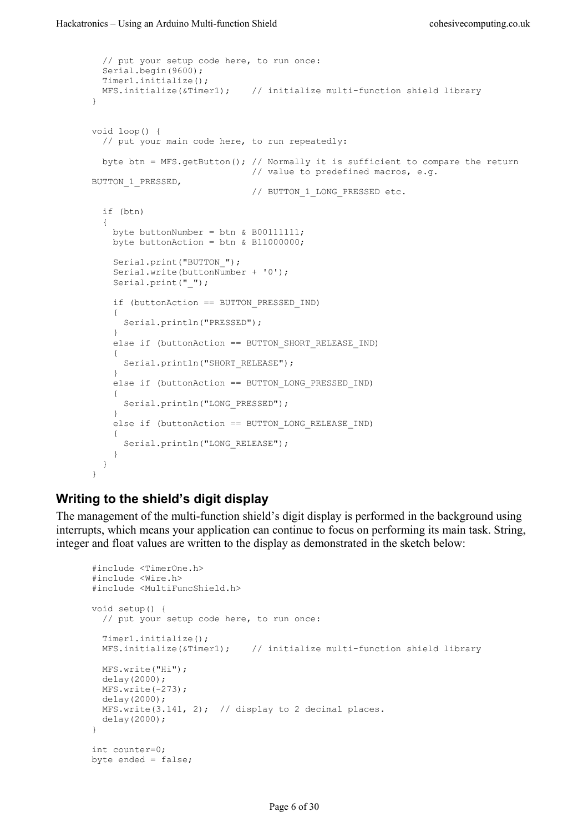```
 // put your setup code here, to run once:
   Serial.begin(9600);
   Timer1.initialize();
 MFS.initialize(&Timer1); // initialize multi-function shield library
}
void loop() {
   // put your main code here, to run repeatedly:
  byte btn = MFS.getButton(); // Normally it is sufficient to compare the return
                                  // value to predefined macros, e.g. 
BUTTON_1_PRESSED,
                                  // BUTTON_1_LONG_PRESSED etc.
   if (btn)
   {
    byte buttonNumber = btn & B00111111;
    byte buttonAction = btn & B11000000;
    Serial.print("BUTTON ");
     Serial.write(buttonNumber + '0');
    Serial.print(" ");
     if (buttonAction == BUTTON_PRESSED_IND)
\left\{\begin{array}{ccc} & & \\ & & \end{array}\right\} Serial.println("PRESSED");
 }
     else if (buttonAction == BUTTON_SHORT_RELEASE_IND)
     {
      Serial.println("SHORT_RELEASE");
     }
     else if (buttonAction == BUTTON_LONG_PRESSED_IND)
    \mathcal{A}Serial.println("LONG_PRESSED");
     }
     else if (buttonAction == BUTTON_LONG_RELEASE_IND)
     {
      Serial.println("LONG RELEASE");
     }
   }
}
```
#### <span id="page-5-0"></span>**Writing to the shield's digit display**

The management of the multi-function shield's digit display is performed in the background using interrupts, which means your application can continue to focus on performing its main task. String, integer and float values are written to the display as demonstrated in the sketch below:

```
#include <TimerOne.h>
#include <Wire.h>
#include <MultiFuncShield.h>
void setup() {
  // put your setup code here, to run once:
  Timer1.initialize();
  MFS.initialize(&Timer1); // initialize multi-function shield library
  MFS.write("Hi");
  delay(2000);
  MFS.write(-273);
  delay(2000);
 MFS.write(3.141, 2); // display to 2 decimal places.
  delay(2000);
}
int counter=0;
byte ended = false;
```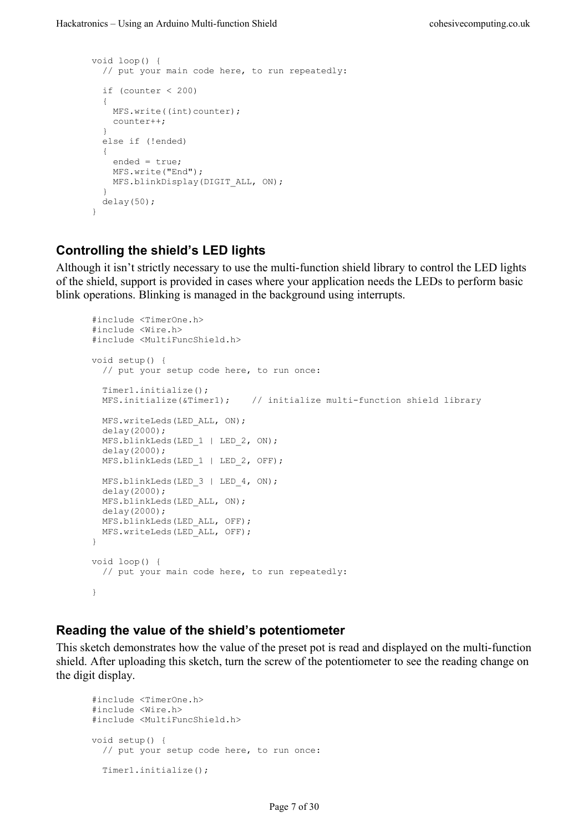```
void loop() {
   // put your main code here, to run repeatedly:
  if (counter \langle 200 \rangle {
    MFS.write((int)counter);
     counter++;
   }
   else if (!ended)
   {
     ended = true;
    MFS.write("End");
   MFS.blinkDisplay(DIGIT ALL, ON);
   }
   delay(50);
}
```
#### <span id="page-6-1"></span>**Controlling the shield's LED lights**

Although it isn't strictly necessary to use the multi-function shield library to control the LED lights of the shield, support is provided in cases where your application needs the LEDs to perform basic blink operations. Blinking is managed in the background using interrupts.

```
#include <TimerOne.h>
#include <Wire.h>
#include <MultiFuncShield.h>
void setup() {
  // put your setup code here, to run once:
  Timer1.initialize();
 MFS.initialize(\alphaTimer1); // initialize multi-function shield library
 MFS.writeLeds(LED_ALL, ON);
  delay(2000);
 MFS.blinkLeds(LED 1 | LED_2, ON);
  delay(2000);
 MFS.blinkLeds(LED 1 | LED 2, OFF);
 MFS.blinkLeds(LED 3 | LED 4, ON);
  delay(2000);
  MFS.blinkLeds(LED_ALL, ON);
  delay(2000);
  MFS.blinkLeds(LED_ALL, OFF);
  MFS.writeLeds(LED_ALL, OFF);
}
void loop() {
  // put your main code here, to run repeatedly:
}
```
#### <span id="page-6-0"></span>**Reading the value of the shield's potentiometer**

This sketch demonstrates how the value of the preset pot is read and displayed on the multi-function shield. After uploading this sketch, turn the screw of the potentiometer to see the reading change on the digit display.

```
#include <TimerOne.h>
#include <Wire.h>
#include <MultiFuncShield.h>
void setup() {
   // put your setup code here, to run once:
   Timer1.initialize();
```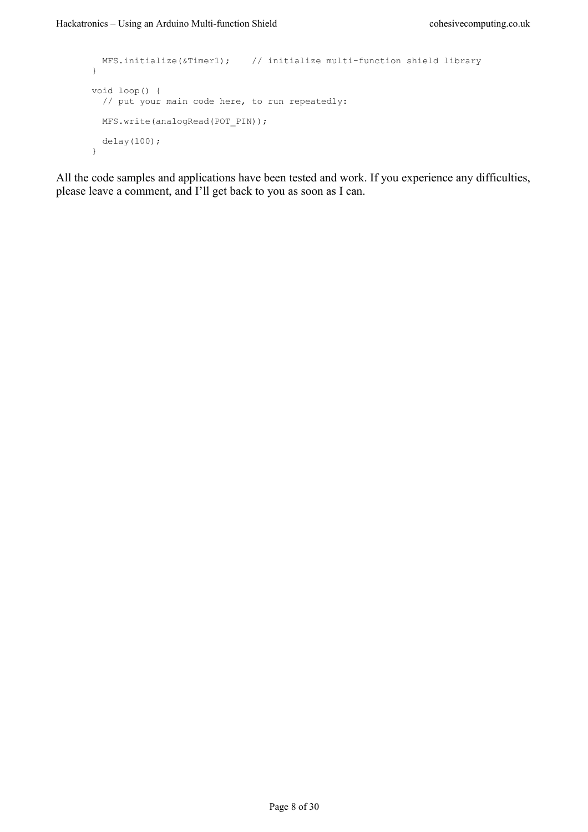```
 MFS.initialize(&Timer1); // initialize multi-function shield library
}
void loop() {
  // put your main code here, to run repeatedly:
 MFS.write(analogRead(POT_PIN));
  delay(100);
}
```
All the code samples and applications have been tested and work. If you experience any difficulties, please leave a comment, and I'll get back to you as soon as I can.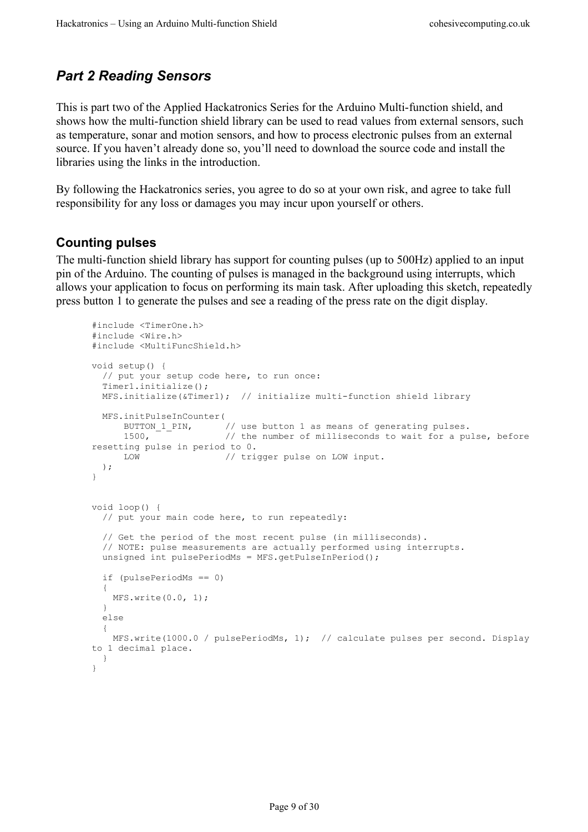## <span id="page-8-1"></span>*Part 2 Reading Sensors*

This is part two of the Applied Hackatronics Series for the Arduino Multi-function shield, and shows how the multi-function shield library can be used to read values from external sensors, such as temperature, sonar and motion sensors, and how to process electronic pulses from an external source. If you haven't already done so, you'll need to download the source code and install the libraries using the links in the introduction.

By following the Hackatronics series, you agree to do so at your own risk, and agree to take full responsibility for any loss or damages you may incur upon yourself or others.

#### <span id="page-8-0"></span>**Counting pulses**

The multi-function shield library has support for counting pulses (up to 500Hz) applied to an input pin of the Arduino. The counting of pulses is managed in the background using interrupts, which allows your application to focus on performing its main task. After uploading this sketch, repeatedly press button 1 to generate the pulses and see a reading of the press rate on the digit display.

```
#include <TimerOne.h>
#include <Wire.h>
#include <MultiFuncShield.h>
void setup() {
  // put your setup code here, to run once:
  Timer1.initialize();
  MFS.initialize(&Timer1); // initialize multi-function shield library
  MFS.initPulseInCounter(
BUTTON_1_PIN, \frac{1}{2} // use button 1 as means of generating pulses.
1500, \frac{1}{\sqrt{2}} the number of milliseconds to wait for a pulse, before
resetting pulse in period to 0.
      LOW // trigger pulse on LOW input.
  );
}
void loop() {
  // put your main code here, to run repeatedly:
   // Get the period of the most recent pulse (in milliseconds).
  // NOTE: pulse measurements are actually performed using interrupts.
 unsigned int pulsePeriodMs = MFS.getPulseInPeriod();
   if (pulsePeriodMs == 0)
   {
    MFS.write(0.0, 1);
   }
   else
  {
    MFS.write(1000.0 / pulsePeriodMs, 1); // calculate pulses per second. Display
to 1 decimal place.
  }
}
```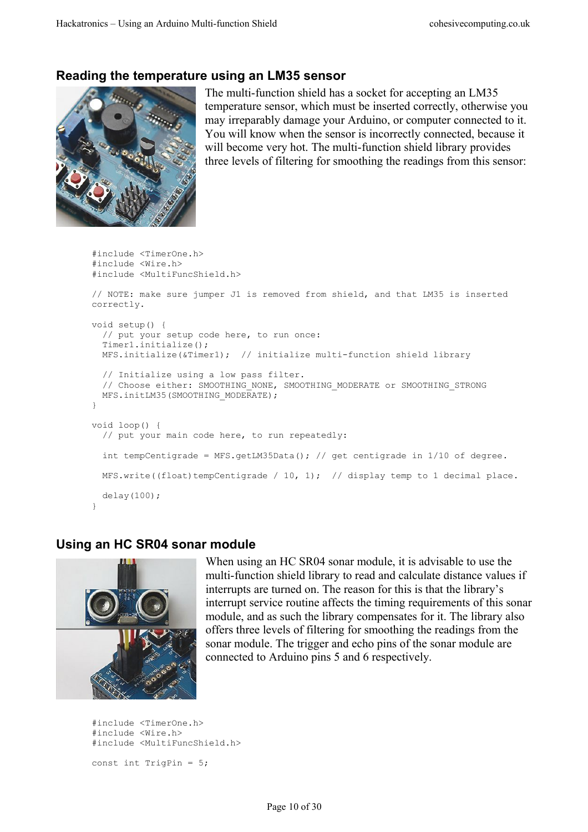#### <span id="page-9-1"></span>**Reading the temperature using an LM35 sensor**



The multi-function shield has a socket for accepting an LM35 temperature sensor, which must be inserted correctly, otherwise you may irreparably damage your Arduino, or computer connected to it. You will know when the sensor is incorrectly connected, because it will become very hot. The multi-function shield library provides three levels of filtering for smoothing the readings from this sensor:

```
#include <TimerOne.h>
#include <Wire.h>
#include <MultiFuncShield.h>
// NOTE: make sure jumper J1 is removed from shield, and that LM35 is inserted 
correctly.
void setup() {
  // put your setup code here, to run once:
  Timer1.initialize();
  MFS.initialize(&Timer1); // initialize multi-function shield library
  // Initialize using a low pass filter.
 // Choose either: SMOOTHING NONE, SMOOTHING MODERATE or SMOOTHING STRONG
 MFS.initLM35(SMOOTHING MODERATE);
}
void loop() {
  // put your main code here, to run repeatedly:
   int tempCentigrade = MFS.getLM35Data(); // get centigrade in 1/10 of degree.
 MFS.write((float)tempCentigrade / 10, 1); // display temp to 1 decimal place.
  delay(100);
}
```
#### <span id="page-9-0"></span>**Using an HC SR04 sonar module**



When using an HC SR04 sonar module, it is advisable to use the multi-function shield library to read and calculate distance values if interrupts are turned on. The reason for this is that the library's interrupt service routine affects the timing requirements of this sonar module, and as such the library compensates for it. The library also offers three levels of filtering for smoothing the readings from the sonar module. The trigger and echo pins of the sonar module are connected to Arduino pins 5 and 6 respectively.

```
#include <TimerOne.h>
#include <Wire.h>
#include <MultiFuncShield.h>
```
const int TrigPin = 5;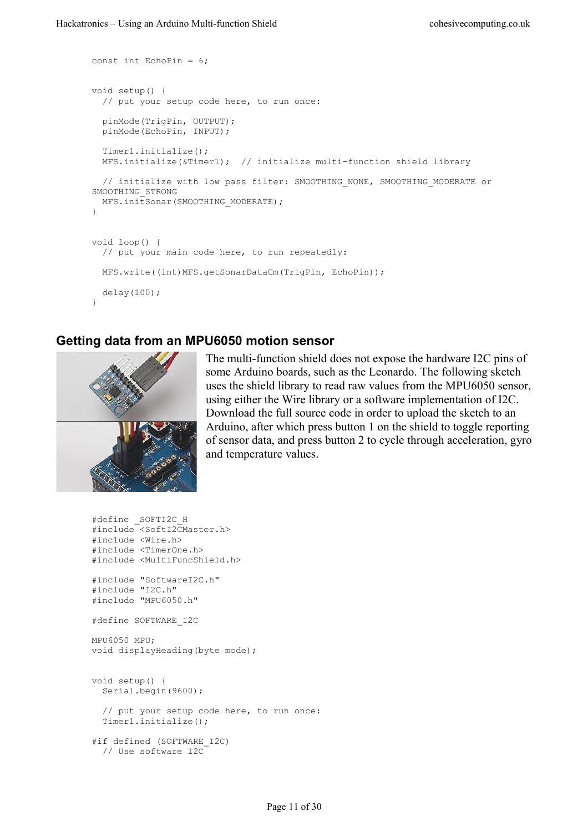```
const int EchoPin = 6;
void setup() {
  // put your setup code here, to run once:
  pinMode(TrigPin, OUTPUT);
  pinMode(EchoPin, INPUT);
  Timer1.initialize();
  MFS.initialize(&Timer1); // initialize multi-function shield library
  // initialize with low pass filter: SMOOTHING NONE, SMOOTHING MODERATE or
SMOOTHING_STRONG
 MFS.initSonar(SMOOTHING MODERATE);
}
void loop() {
   // put your main code here, to run repeatedly:
   MFS.write((int)MFS.getSonarDataCm(TrigPin, EchoPin));
  delay(100);
}
```
#### <span id="page-10-0"></span>**Getting data from an MPU6050 motion sensor**



The multi-function shield does not expose the hardware I2C pins of some Arduino boards, such as the Leonardo. The following sketch uses the shield library to read raw values from the MPU6050 sensor, using either the Wire library or a software implementation of I2C. Download the full source code in order to upload the sketch to an Arduino, after which press button 1 on the shield to toggle reporting of sensor data, and press button 2 to cycle through acceleration, gyro and temperature values.

```
#define _SOFTI2C_H
#include <SoftI2CMaster.h>
#include <Wire.h>
#include <TimerOne.h>
#include <MultiFuncShield.h>
#include "SoftwareI2C.h"
#include "I2C.h"
#include "MPU6050.h"
#define SOFTWARE_I2C
MPU6050 MPU;
void displayHeading(byte mode);
void setup() {
  Serial.begin(9600);
   // put your setup code here, to run once:
   Timer1.initialize();
#if defined (SOFTWARE I2C)
   // Use software I2C
```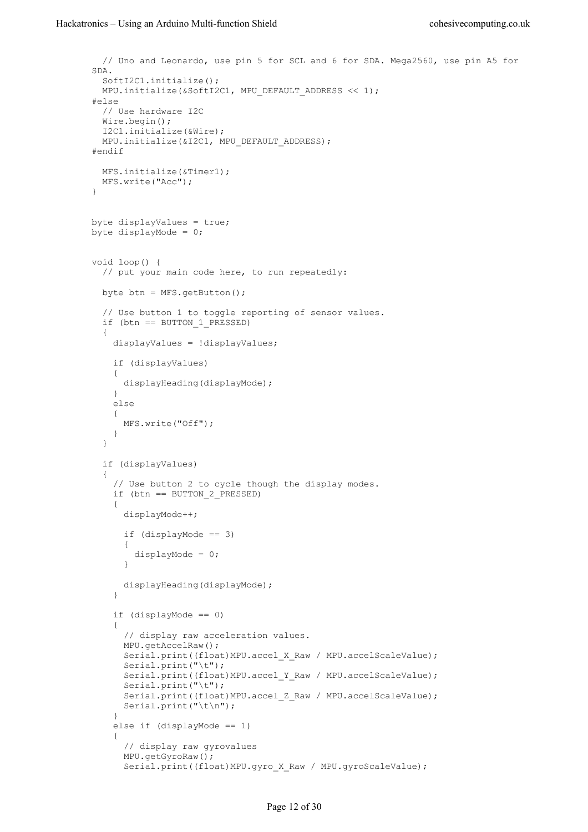```
 // Uno and Leonardo, use pin 5 for SCL and 6 for SDA. Mega2560, use pin A5 for 
SDA.
   SoftI2C1.initialize();
 MPU.initialize(&SoftI2C1, MPU DEFAULT ADDRESS << 1);
#else
  // Use hardware I2C
 Wire.begin();
  I2C1.initialize(&Wire);
 MPU. initialize(&I2C1, MPU DEFAULT ADDRESS);
#endif
  MFS.initialize(&Timer1);
  MFS.write("Acc");
}
byte displayValues = true;
byte displayMode = 0;
void loop() {
   // put your main code here, to run repeatedly:
  byte btn = MFS.getButton();
   // Use button 1 to toggle reporting of sensor values.
  if (btn == BUTTON 1 PRESSED)
   {
     displayValues = !displayValues;
     if (displayValues)
     {
      displayHeading(displayMode);
     }
     else
     {
       MFS.write("Off");
     }
   }
   if (displayValues)
   {
     // Use button 2 to cycle though the display modes.
     if (btn == BUTTON_2_PRESSED)
     {
       displayMode++;
      if (displayMode == 3)\{ displayMode = 0;
       }
       displayHeading(displayMode);
     }
     if (displayMode == 0)
     {
       // display raw acceleration values.
       MPU.getAccelRaw();
      Serial.print((float)MPU.accel X Raw / MPU.accelScaleValue);
       Serial.print("\t");
      Serial.print((float)MPU.accel Y_Raw / MPU.accelScaleValue);
       Serial.print("\t");
      Serial.print((float)MPU.accel Z Raw / MPU.accelScaleValue);
       Serial.print("\t\n");
     }
     else if (displayMode == 1)
\left\{\begin{array}{ccc} & & \\ & & \end{array}\right\} // display raw gyrovalues
       MPU.getGyroRaw();
      Serial.print((float)MPU.gyro X Raw / MPU.gyroScaleValue);
```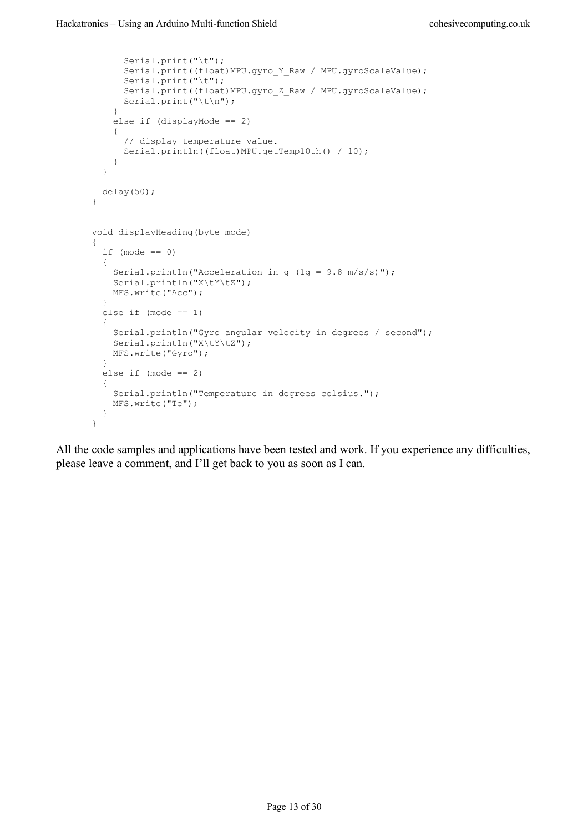```
 Serial.print("\t");
      Serial.print((float)MPU.gyro Y_Raw / MPU.gyroScaleValue);
       Serial.print("\t");
      Serial.print((float)MPU.gyro Z_Raw / MPU.gyroScaleValue);
      Serial.print("\t\n");
     }
     else if (displayMode == 2)
     {
       // display temperature value.
       Serial.println((float)MPU.getTemp10th() / 10);
     }
   }
  delay(50);
}
void displayHeading(byte mode)
{
  if (mode == 0) {
    Serial.println("Acceleration in g (1g = 9.8 m/s/s)");
    Serial.println("X\tY\tZ");
    MFS.write("Acc");
   }
   else if (mode == 1)
   {
     Serial.println("Gyro angular velocity in degrees / second");
    Serial.println("X\setminus tY\setminus tZ");
     MFS.write("Gyro");
   }
   else if (mode == 2)
   {
     Serial.println("Temperature in degrees celsius.");
    MFS.write("Te");
   }
}
```
All the code samples and applications have been tested and work. If you experience any difficulties, please leave a comment, and I'll get back to you as soon as I can.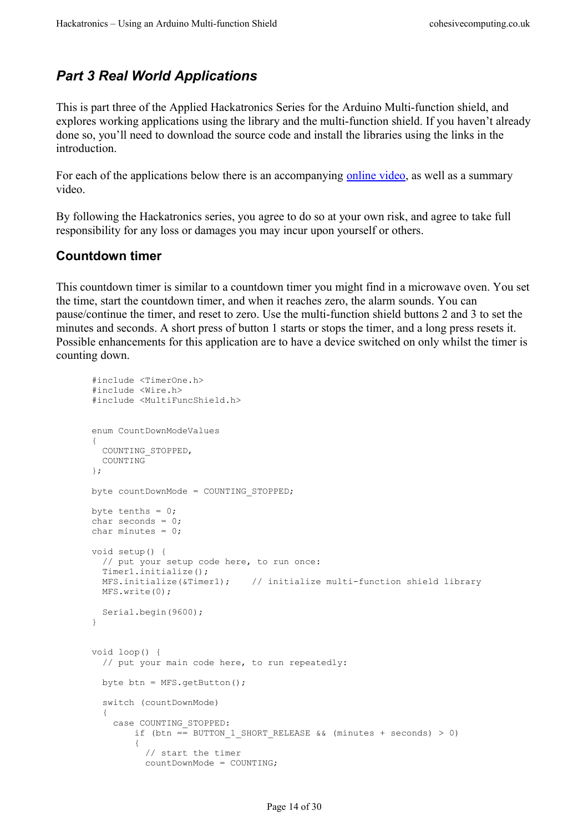## <span id="page-13-1"></span>*Part 3 Real World Applications*

This is part three of the Applied Hackatronics Series for the Arduino Multi-function shield, and explores working applications using the library and the multi-function shield. If you haven't already done so, you'll need to download the source code and install the libraries using the links in the introduction.

For each of the applications below there is an accompanying [online video,](http://www.cohesivecomputing.co.uk/hackatronics/arduino-multi-function-shield/) as well as a summary video.

By following the Hackatronics series, you agree to do so at your own risk, and agree to take full responsibility for any loss or damages you may incur upon yourself or others.

#### <span id="page-13-0"></span>**Countdown timer**

#include <TimerOne.h>

This countdown timer is similar to a countdown timer you might find in a microwave oven. You set the time, start the countdown timer, and when it reaches zero, the alarm sounds. You can pause/continue the timer, and reset to zero. Use the multi-function shield buttons 2 and 3 to set the minutes and seconds. A short press of button 1 starts or stops the timer, and a long press resets it. Possible enhancements for this application are to have a device switched on only whilst the timer is counting down.

```
#include <Wire.h>
#include <MultiFuncShield.h>
enum CountDownModeValues
{
  COUNTING_STOPPED,
  COUNTING
};
byte countDownMode = COUNTING_STOPPED;
byte tenths = 0;
char seconds = 0;
char minutes = 0;
void setup() {
  // put your setup code here, to run once:
   Timer1.initialize();
  MFS.initialize(&Timer1); // initialize multi-function shield library
  MFS.write(0);
  Serial.begin(9600);
}
void loop() {
   // put your main code here, to run repeatedly:
   byte btn = MFS.getButton();
   switch (countDownMode)
   {
     case COUNTING_STOPPED:
       if (btn == BUTTON 1 SHORT RELEASE && (minutes + seconds) > 0)
\overline{\mathcal{A}} // start the timer
           countDownMode = COUNTING;
```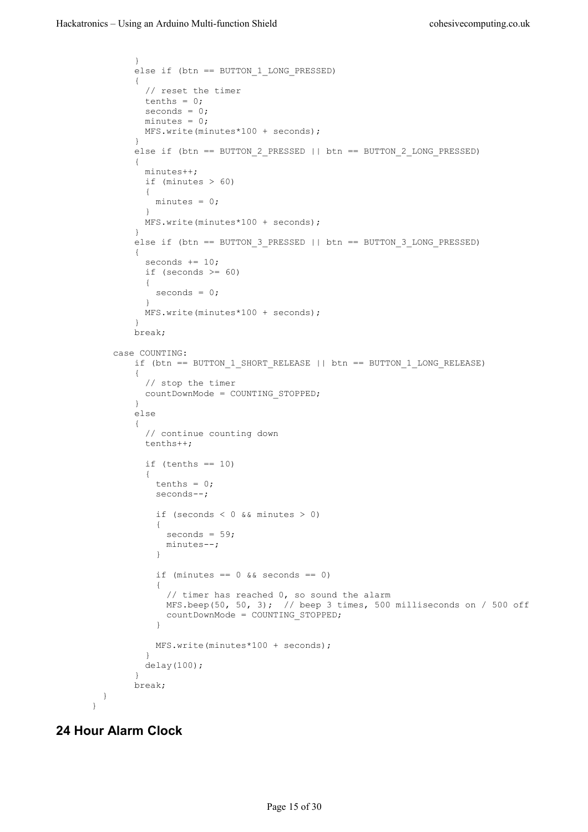```
 }
        else if (btn == BUTTON_1_LONG_PRESSED)
\overline{\mathcal{A}} // reset the timer
         tenths = 0;
          seconds = 0;
          minutes = 0;
          MFS.write(minutes*100 + seconds);
 }
        else if (btn == BUTTON_2_PRESSED || btn == BUTTON_2_LONG_PRESSED)
        {
          minutes++;
          if (minutes > 60)
 {
           minutes = 0;
 }
          MFS.write(minutes*100 + seconds);
 }
       else if (btn == BUTTON 3 PRESSED || btn == BUTTON 3 LONG PRESSED)
\overline{\mathcal{A}}seconds += 10;if (seconds >= 60)
 {
         seconds = 0; }
          MFS.write(minutes*100 + seconds);
 }
        break;
    case COUNTING:
        if (btn == BUTTON_1_SHORT_RELEASE || btn == BUTTON_1_LONG_RELEASE)
\overline{\mathcal{A}} // stop the timer
          countDownMode = COUNTING_STOPPED;
        }
        else
\overline{\mathcal{A}} // continue counting down
          tenths++;
         if (tenths == 10)
 {
           tenths = 0;
            seconds--;
            if (seconds < 0 && minutes > 0)
 {
             seconds = 59; minutes--;
 }
           if (minutes == 0 \& seconds == 0)
 {
              // timer has reached 0, so sound the alarm
              MFS.beep(50, 50, 3); // beep 3 times, 500 milliseconds on / 500 off
            countDownMode = COUNTING_STOPPED;
 }
            MFS.write(minutes*100 + seconds);
 }
       delay(100);
 }
        break;
  }
\mathbf{I}
```
#### <span id="page-14-0"></span>**24 Hour Alarm Clock**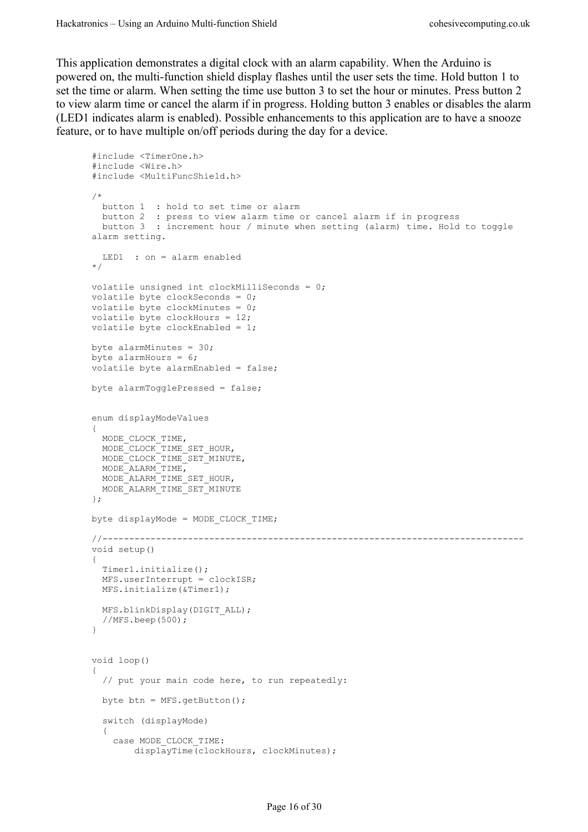This application demonstrates a digital clock with an alarm capability. When the Arduino is powered on, the multi-function shield display flashes until the user sets the time. Hold button 1 to set the time or alarm. When setting the time use button 3 to set the hour or minutes. Press button 2 to view alarm time or cancel the alarm if in progress. Holding button 3 enables or disables the alarm (LED1 indicates alarm is enabled). Possible enhancements to this application are to have a snooze feature, or to have multiple on/off periods during the day for a device.

```
#include <TimerOne.h>
#include <Wire.h>
#include <MultiFuncShield.h>
/*
 button 1 : hold to set time or alarm
 button 2 : press to view alarm time or cancel alarm if in progress
 button 3 : increment hour / minute when setting (alarm) time. Hold to toggle 
alarm setting.
  LED1 : on = alarm enabled
*/
volatile unsigned int clockMilliSeconds = 0;
volatile byte clockSeconds = 0;
volatile byte clockMinutes = 0;
volatile byte clockHours = 12;
volatile byte clockEnabled = 1;
byte alarmMinutes = 30;
byte alarmHours = 6;
volatile byte alarmEnabled = false;
byte alarmTogglePressed = false;
enum displayModeValues
{
  MODE_CLOCK_TIME,
 MODE<sup>CLOCK</sub>TIME SET HOUR,</sup>
 MODE<sup>CLOCK</sub>TIME<sup>SETMINUTE,</sup></sup>
  MODE_ALARM_TIME,
 MODE ALARM TIME SET HOUR,
  MODE_ALARM_TIME_SET_MINUTE
};
byte displayMode = MODE_CLOCK_TIME;
//-------------------------------------------------------------------------------
void setup()
{
  Timer1.initialize();
  MFS.userInterrupt = clockISR;
  MFS.initialize(&Timer1);
 MFS.blinkDisplay(DIGIT ALL);
  //MFS.beep(500);
}
void loop()
{
   // put your main code here, to run repeatedly:
  byte btn = MFS.getButton();
   switch (displayMode)
   {
     case MODE_CLOCK_TIME:
         displayTime(clockHours, clockMinutes);
```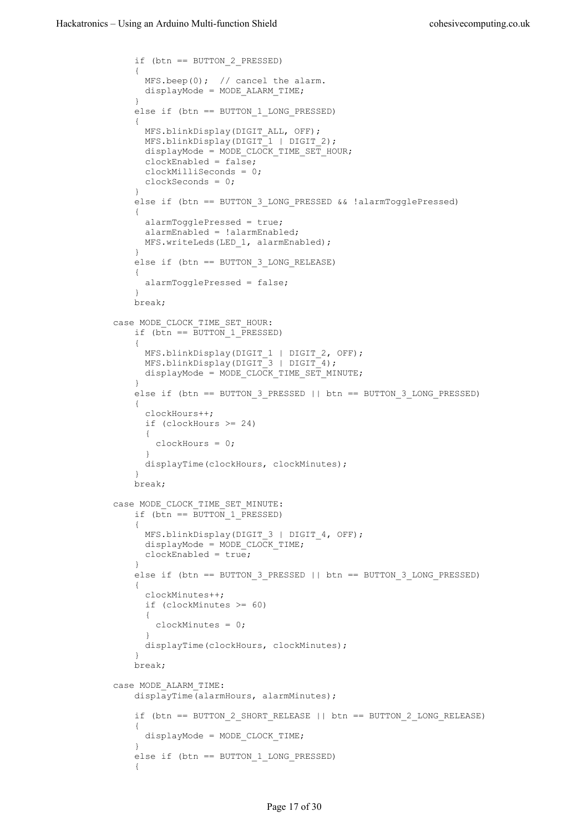```
 if (btn == BUTTON_2_PRESSED)
\overline{\mathcal{A}} MFS.beep(0); // cancel the alarm.
           displayMode = MODE_ALARM_TIME;
 }
         else if (btn == BUTTON_1_LONG_PRESSED)
\overline{\mathcal{A}}MFS.blinkDisplay(DIGIT ALL, OFF);
          MFS.blinkDisplay(DIGIT<sup>-1</sup> | DIGIT 2);
          displayMode = MODE CLOCK TIME SET HOUR;
          clockEnabled = false; clockMilliSeconds = 0;
        clockSeconds = 0; }
         else if (btn == BUTTON_3_LONG_PRESSED && !alarmTogglePressed)
\overline{\mathcal{A}} alarmTogglePressed = true;
           alarmEnabled = !alarmEnabled;
          MFS.writeLeds(LED 1, alarmEnabled);
 }
         else if (btn == BUTTON_3_LONG_RELEASE)
\overline{\mathcal{L}} alarmTogglePressed = false;
 }
         break;
    case MODE_CLOCK_TIME_SET_HOUR:
        if (b\bar{t}n == BUTTON 1 PRESED)\overline{\mathcal{A}}MFS.blinkDisplay(DIGIT 1 | DIGIT 2, OFF);
          MFS.blinkDisplay(DIGIT<sup>-</sup>3 | DIGIT<sup>-</sup>4);displayMode = MODE CLOCK TIME SET MINUTE;
 }
         else if (btn == BUTTON_3_PRESSED || btn == BUTTON_3_LONG_PRESSED)
\overline{\mathcal{A}} clockHours++;
           if (clockHours >= 24)
 {
             clockHours = 0;
 }
           displayTime(clockHours, clockMinutes);
 }
         break;
   case MODE CLOCK TIME SET MINUTE:
        if (btn == \overline{B}UTTON 1 PRESSED)
\overline{\mathcal{A}}MFS.blinkDisplay(DIGIT 3 | DIGIT 4, OFF);
          display displayMode = MODE_CLOCK_TIME;
           clockEnabled = true;
 }
         else if (btn == BUTTON_3_PRESSED || btn == BUTTON_3_LONG_PRESSED)
\overline{\mathcal{A}} clockMinutes++;
           if (clockMinutes >= 60)
 {
             clockMinutes = 0;
 }
           displayTime(clockHours, clockMinutes);
 }
         break;
    case MODE_ALARM_TIME:
         displayTime(alarmHours, alarmMinutes);
         if (btn == BUTTON_2_SHORT_RELEASE || btn == BUTTON_2_LONG_RELEASE)
\overline{\mathcal{A}} displayMode = MODE_CLOCK_TIME;
 }
        else if (btn == BUTTON 1 LONG PRESSED)
\overline{\mathcal{A}}
```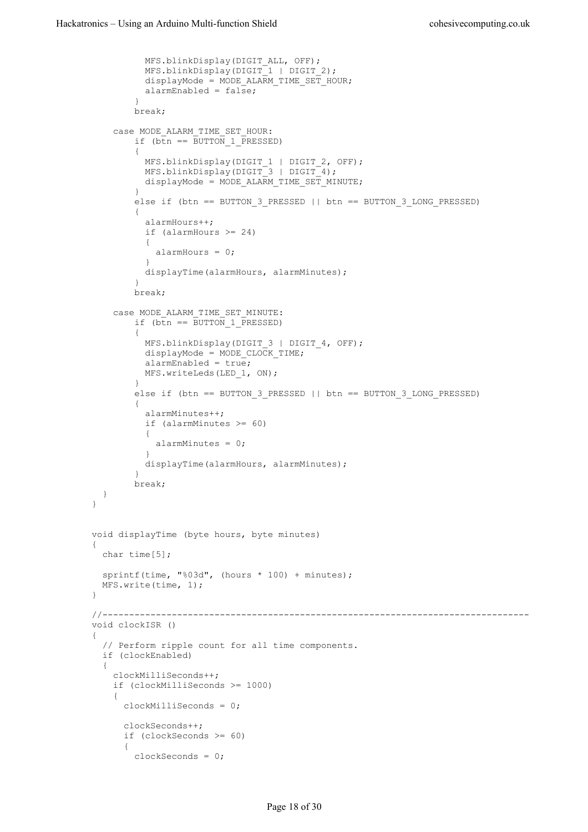```
 MFS.blinkDisplay(DIGIT_ALL, OFF);
 MFS.blinkDisplay(DIGIT_1 | DIGIT_2);
          displayMode = MODE ALARM TIME SET HOUR;
          alarmEnabled = false; }
         break;
     case MODE_ALARM_TIME_SET_HOUR:
        if (b\bar{t}n == \bar{B}UTTON 1 PRESSED)
\overline{\mathcal{A}} MFS.blinkDisplay(DIGIT_1 | DIGIT_2, OFF);
MFS.blinkDisplay(DIGIT 3 | DIGIT 4);
        displayMode = MODEL\nA\overline{R}M\_TIME\_SET\_MINUTE; }
         else if (btn == BUTTON_3_PRESSED || btn == BUTTON_3_LONG_PRESSED)
\overline{\mathcal{A}} alarmHours++;
           if (alarmHours >= 24)
           {
            alarmHours = 0;
 }
          displayTime(alarmHours, alarmMinutes);
 }
         break;
     case MODE_ALARM_TIME_SET_MINUTE:
        if (btn == \overline{B}UTTON 1 PRESSED)
\overline{\mathcal{A}}MFS.blinkDisplay(DIGIT 3 | DIGIT 4, OFF);
         displayMode = MODE CLOCK TIME;
          alarmEnabled = true;
          MFS.writeLeds(LED 1, ON);
 }
         else if (btn == BUTTON_3_PRESSED || btn == BUTTON_3_LONG_PRESSED)
         {
           alarmMinutes++;
           if (alarmMinutes >= 60)
 {
             alarmMinutes = 0;
 }
          displayTime(alarmHours, alarmMinutes);
         }
         break; 
   }
}
void displayTime (byte hours, byte minutes)
{
  char time[5];
  sprintf(time, "%03d", (hours * 100) + minutes);
  MFS.write(time, 1);
}
//--------------------------------------------------------------------------------
void clockISR ()
{
   // Perform ripple count for all time components.
   if (clockEnabled)
   {
     clockMilliSeconds++;
     if (clockMilliSeconds >= 1000)
     {
       clockMilliSeconds = 0;
       clockSeconds++;
       if (clockSeconds >= 60)
\{ clockSeconds = 0;
```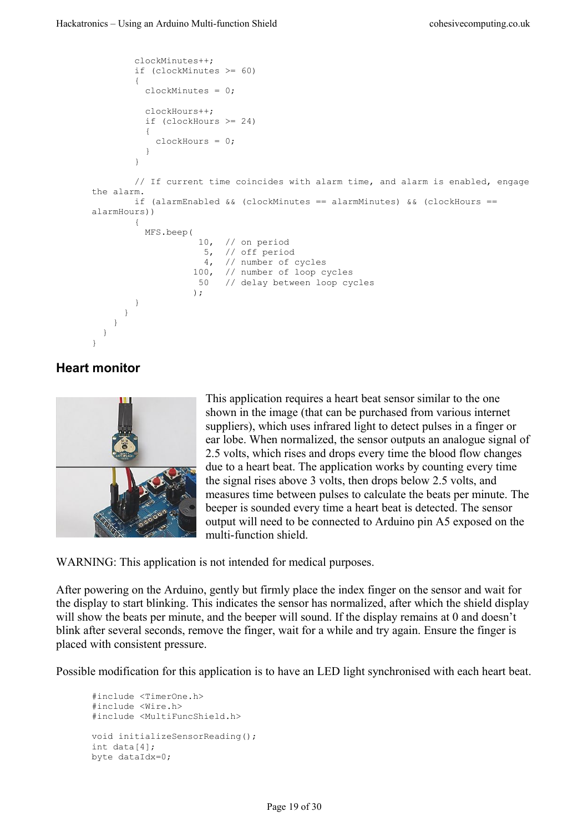```
 clockMinutes++;
        if (clockMinutes >= 60)
\overline{\mathcal{A}} clockMinutes = 0;
         clockHours++;
          if (clockHours >= 24)
 {
           clockHours = 0;
 }
        }
        // If current time coincides with alarm time, and alarm is enabled, engage
the alarm.
       if (alarmEnabled && (clockMinutes == alarmMinutes) && (clockHours == 
alarmHours))
       {
         MFS.beep(
                   10, // on period
                   5, // off period
 4, // number of cycles
 100, // number of loop cycles
                   50 // delay between loop cycles
) :
        }
     }
    }
  }
}
```
#### <span id="page-18-0"></span>**Heart monitor**



This application requires a heart beat sensor similar to the one shown in the image (that can be purchased from various internet suppliers), which uses infrared light to detect pulses in a finger or ear lobe. When normalized, the sensor outputs an analogue signal of 2.5 volts, which rises and drops every time the blood flow changes due to a heart beat. The application works by counting every time the signal rises above 3 volts, then drops below 2.5 volts, and measures time between pulses to calculate the beats per minute. The beeper is sounded every time a heart beat is detected. The sensor output will need to be connected to Arduino pin A5 exposed on the multi-function shield.

WARNING: This application is not intended for medical purposes.

After powering on the Arduino, gently but firmly place the index finger on the sensor and wait for the display to start blinking. This indicates the sensor has normalized, after which the shield display will show the beats per minute, and the beeper will sound. If the display remains at 0 and doesn't blink after several seconds, remove the finger, wait for a while and try again. Ensure the finger is placed with consistent pressure.

Possible modification for this application is to have an LED light synchronised with each heart beat.

```
#include <TimerOne.h>
#include <Wire.h>
#include <MultiFuncShield.h>
void initializeSensorReading();
int data[4];
byte dataIdx=0;
```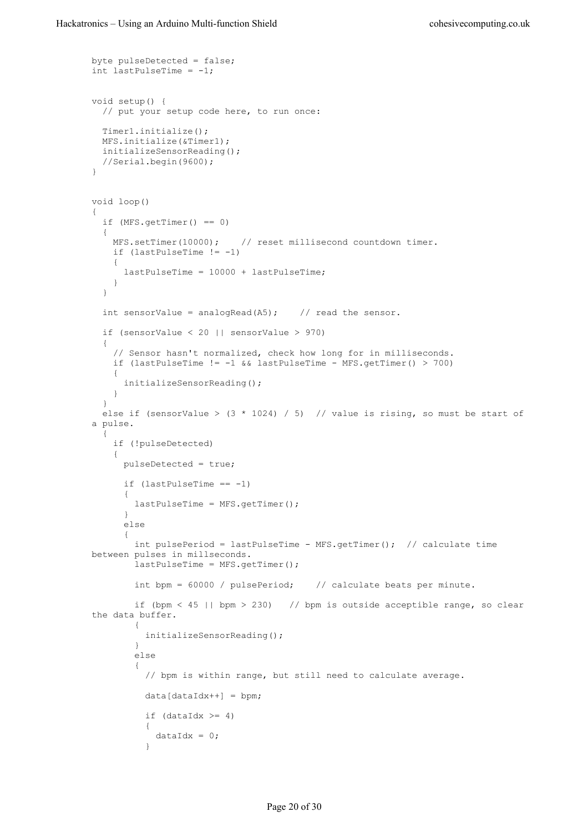```
byte pulseDetected = false;
int lastPulseTime = -1;
void setup() {
  // put your setup code here, to run once:
  Timer1.initialize();
  MFS.initialize(&Timer1);
  initializeSensorReading();
   //Serial.begin(9600);
}
void loop()
{
  if (MFS.getTimer() == 0) {
    MFS.setTimer(10000); // reset millisecond countdown timer.
    if (lastPulseTime != -1)
     {
       lastPulseTime = 10000 + lastPulseTime;
     }
   }
  int sensorValue = analogRead(A5); // read the sensor.
   if (sensorValue < 20 || sensorValue > 970)
   {
     // Sensor hasn't normalized, check how long for in milliseconds.
   if (lastPulseTime != -1 && lastPulseTime - MFS.getTimer() > 700)
     {
       initializeSensorReading();
     }
   }
  else if (sensorValue > (3 * 1024) / 5) // value is rising, so must be start of
a pulse.
   {
     if (!pulseDetected)
     {
       pulseDetected = true;
      if (lastPulseTime == -1)\{ lastPulseTime = MFS.getTimer();
       }
       else
\{int pulsePeriod = lastPulseTime - MFS.getTimer(); // calculate time
between pulses in millseconds.
         lastPulseTime = MFS.getTimer();
         int bpm = 60000 / pulsePeriod; // calculate beats per minute.
         if (bpm < 45 || bpm > 230) // bpm is outside acceptible range, so clear 
the data buffer.
         {
           initializeSensorReading();
         }
         else
\overline{\mathcal{A}} // bpm is within range, but still need to calculate average.
          data[dataIdx++] = bpm;if (dataIdx \geq 4) {
            dataIdx = 0; }
```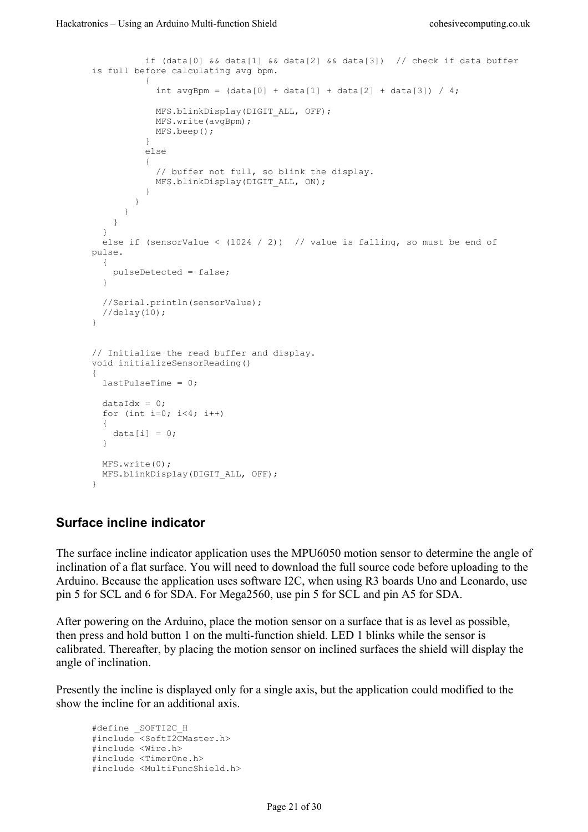```
if (data[0] &&&data[1] &&&data[2] &&&data[3]) // check if data buffer
is full before calculating avg bpm.
           {
            int avgBpm = (data[0] + data[1] + data[2] + data[3]) / 4;MFS.blinkDisplay(DIGIT ALL, OFF);
            MFS.write(avgBpm);
          MFS.beep();
 }
           else
 {
             // buffer not full, so blink the display.
           MFS.blinkDisplay(DIGIT ALL, ON);
           }
        }
      }
    }
   }
  else if (sensorValue < (1024 / 2)) // value is falling, so must be end of
pulse.
  {
    pulseDetected = false;
   }
  //Serial.println(sensorValue);
   //delay(10);
}
// Initialize the read buffer and display.
void initializeSensorReading()
{
  lastPulseTime = 0;
 dataIdx = 0:
 for (int i=0; i<4; i++)
   {
   data[i] = 0; }
 MFS write(0):
 MFS.blinkDisplay(DIGIT ALL, OFF);
}
```
#### <span id="page-20-0"></span>**Surface incline indicator**

The surface incline indicator application uses the MPU6050 motion sensor to determine the angle of inclination of a flat surface. You will need to download the full source code before uploading to the Arduino. Because the application uses software I2C, when using R3 boards Uno and Leonardo, use pin 5 for SCL and 6 for SDA. For Mega2560, use pin 5 for SCL and pin A5 for SDA.

After powering on the Arduino, place the motion sensor on a surface that is as level as possible, then press and hold button 1 on the multi-function shield. LED 1 blinks while the sensor is calibrated. Thereafter, by placing the motion sensor on inclined surfaces the shield will display the angle of inclination.

Presently the incline is displayed only for a single axis, but the application could modified to the show the incline for an additional axis.

```
#define _SOFTI2C_H
#include <SoftI2CMaster.h>
#include <Wire.h>
#include <TimerOne.h>
#include <MultiFuncShield.h>
```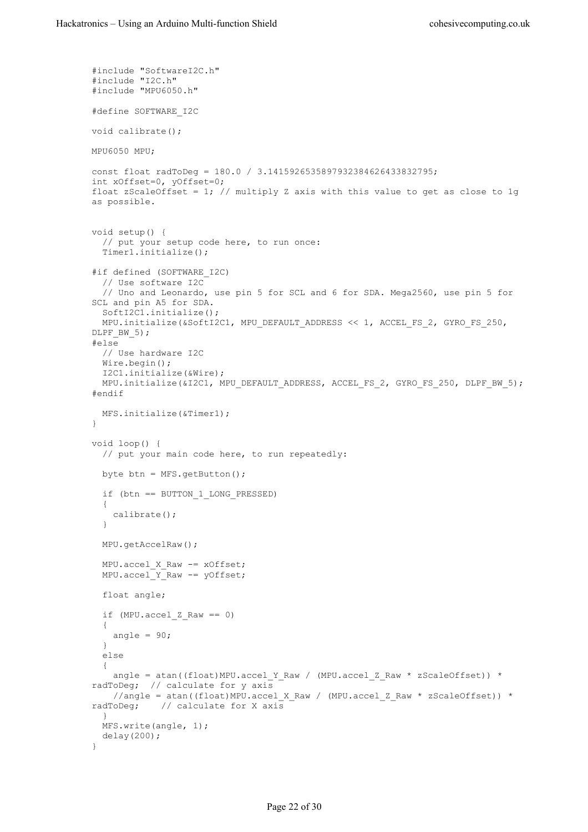```
#include "SoftwareI2C.h"
#include "I2C.h"
#include "MPU6050.h"
#define SOFTWARE_I2C
void calibrate();
MPU6050 MPU;
const float radToDeg = 180.0 / 3.1415926535897932384626433832795;
int xOffset=0, yOffset=0;
float zScaleOffset = 1; // multiply Z axis with this value to get as close to 1qas possible.
void setup() {
  // put your setup code here, to run once:
  Timer1.initialize();
#if defined (SOFTWARE_I2C)
   // Use software I2C
   // Uno and Leonardo, use pin 5 for SCL and 6 for SDA. Mega2560, use pin 5 for 
SCL and pin A5 for SDA.
   SoftI2C1.initialize();
 MPU.initialize(&SoftI2C1, MPU DEFAULT ADDRESS << 1, ACCEL FS 2, GYRO FS 250,
DLPF BW 5);
#else
  // Use hardware I2C
  Wire.begin();
  I2C1.initialize(&Wire);
 MPU.initialize(&I2C1, MPU_DEFAULT_ADDRESS, ACCEL FS 2, GYRO FS 250, DLPF BW 5);
#endif
  MFS.initialize(&Timer1);
}
void loop() {
  // put your main code here, to run repeatedly:
  byte btn = MFS.getButton();
   if (btn == BUTTON_1_LONG_PRESSED)
   {
    calibrate();
   }
  MPU.getAccelRaw();
 MPU.accel X Raw -= xOffset;
 MPU.accelYRaw - = yOffset; float angle;
  if (MPU.accel Z Raw == 0)
   {
   angle = 90;
   }
   else
   {
    angle = atan((float)MPU.accel Y_Raw / (MPU.accel Z_Raw * zScaleOffset)) *
radToDeg; // calculate for y axis
   //angle = atan((float)MPU.accel_X_Raw / (MPU.accel_Z_Raw * zScaleOffset)) *
radToDeg; // calculate for X axis
   }
  MFS.write(angle, 1);
  delay(200);
}
```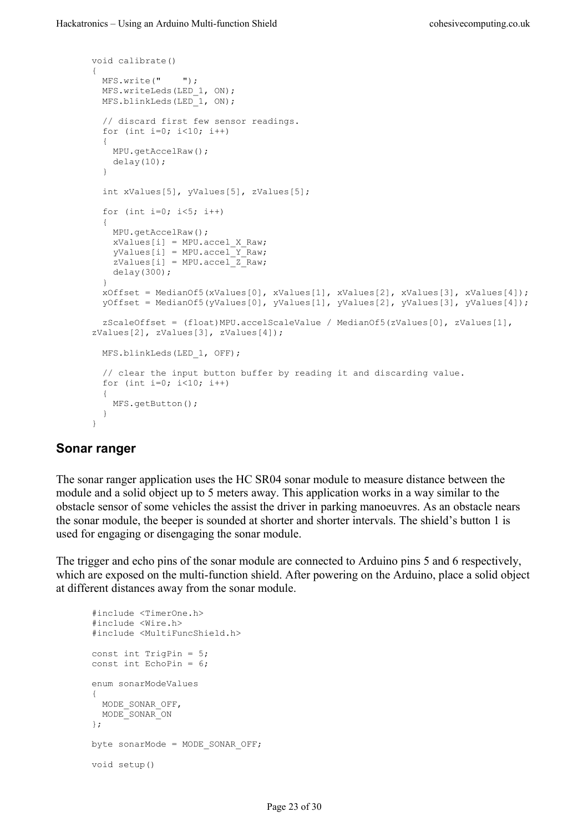```
void calibrate()
{
  MFS.write(" ");
 MFS.writeLeds(LED 1, ON);
  MFS.blinkLeds(LED_1, ON); 
   // discard first few sensor readings.
  for (int i=0; i<10; i++)
   {
    MPU.getAccelRaw();
    delay(10);
 }
   int xValues[5], yValues[5], zValues[5];
  for (int i=0; i<5; i++)
\{ MPU.getAccelRaw();
   xValues[i] = MPU.accel X Raw; yValues[i] = MPU.accel_Y_Raw;
    zValues[i] = MPU.accel_Z_Raw;
    delay(300);
 }
   xOffset = MedianOf5(xValues[0], xValues[1], xValues[2], xValues[3], xValues[4]);
   yOffset = MedianOf5(yValues[0], yValues[1], yValues[2], yValues[3], yValues[4]);
   zScaleOffset = (float)MPU.accelScaleValue / MedianOf5(zValues[0], zValues[1], 
zValues[2], zValues[3], zValues[4]);
  MFS.blinkLeds(LED_1, OFF);
   // clear the input button buffer by reading it and discarding value.
 for (int i=0; i<10; i++)
   {
    MFS.getButton();
   }
}
```
#### <span id="page-22-0"></span>**Sonar ranger**

The sonar ranger application uses the HC SR04 sonar module to measure distance between the module and a solid object up to 5 meters away. This application works in a way similar to the obstacle sensor of some vehicles the assist the driver in parking manoeuvres. As an obstacle nears the sonar module, the beeper is sounded at shorter and shorter intervals. The shield's button 1 is used for engaging or disengaging the sonar module.

The trigger and echo pins of the sonar module are connected to Arduino pins 5 and 6 respectively, which are exposed on the multi-function shield. After powering on the Arduino, place a solid object at different distances away from the sonar module.

```
#include <TimerOne.h>
#include <Wire.h>
#include <MultiFuncShield.h>
const int TrigPin = 5;
const int EchoPin = 6;
enum sonarModeValues
{
  MODE_SONAR_OFF,
  MODE_SONAR_ON
};
byte sonarMode = MODE_SONAR_OFF;
void setup()
```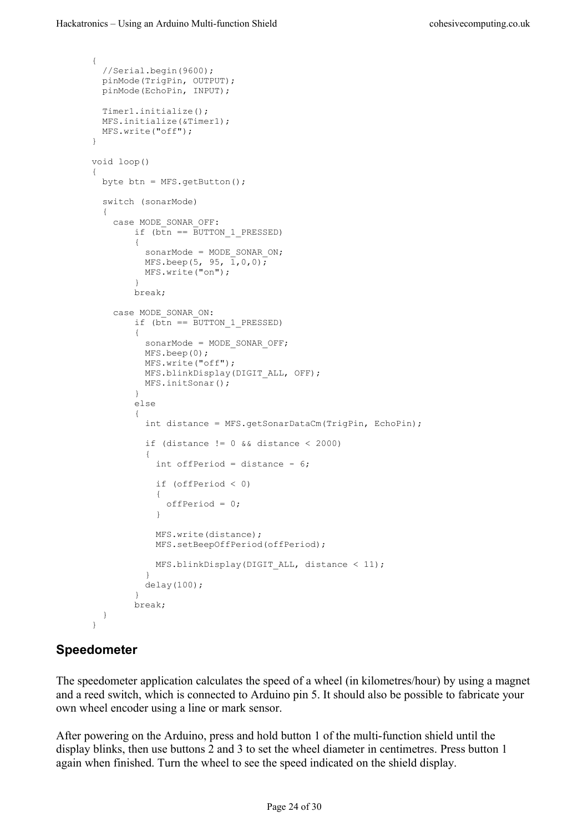```
{
  //Serial.begin(9600);
  pinMode(TrigPin, OUTPUT);
  pinMode(EchoPin, INPUT);
  Timer1.initialize();
  MFS.initialize(&Timer1);
  MFS.write("off");
}
void loop()
{
  byte btn = MFS.getButton();
   switch (sonarMode)
   {
     case MODE_SONAR_OFF:
        if (b\bar{t}n == BUTTON 1 PRESED) {
         sonarMode = MODE SONAR ON;
          MFS.beep(5, 95, 1,0,0);
          MFS.write("on");
 }
         break;
     case MODE_SONAR_ON:
        if (\overline{b}th == BUTTON 1 PRESSED)
\overline{\mathcal{A}} sonarMode = MODE_SONAR_OFF;
          MFS.beep(0);
          MFS.write("off");
         MFS.blinkDisplay(DIGIT ALL, OFF);
           MFS.initSonar();
 }
         else
\overline{\mathcal{L}} int distance = MFS.getSonarDataCm(TrigPin, EchoPin);
          if (distance != 0 && distance < 2000)
\{ int offPeriod = distance - 6;
             if (offPeriod < 0)
 {
               offPeriod = 0;
 }
             MFS.write(distance);
             MFS.setBeepOffPeriod(offPeriod);
          MFS.blinkDisplay(DIGIT_ALL, distance < 11);<br>}
 }
           delay(100);
 }
         break;
   }
\overline{1}
```
## <span id="page-23-0"></span>**Speedometer**

The speedometer application calculates the speed of a wheel (in kilometres/hour) by using a magnet and a reed switch, which is connected to Arduino pin 5. It should also be possible to fabricate your own wheel encoder using a line or mark sensor.

After powering on the Arduino, press and hold button 1 of the multi-function shield until the display blinks, then use buttons 2 and 3 to set the wheel diameter in centimetres. Press button 1 again when finished. Turn the wheel to see the speed indicated on the shield display.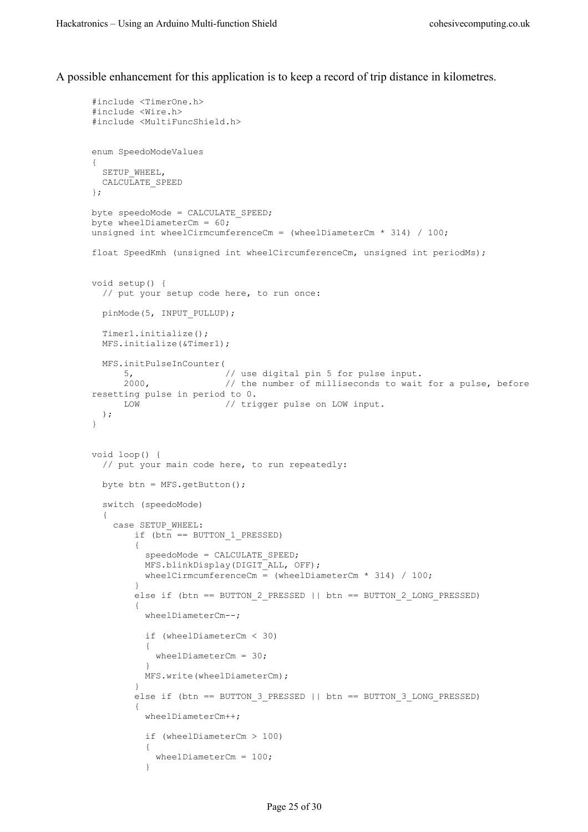A possible enhancement for this application is to keep a record of trip distance in kilometres.

```
#include <TimerOne.h>
#include <Wire.h>
#include <MultiFuncShield.h>
enum SpeedoModeValues
{
 SETUP WHEEL,
 CALCULATE SPEED
};
byte speedoMode = CALCULATE_SPEED;
byte wheelDiameterCm = 60;
unsigned int wheelCirmcumferenceCm = (wheelDiameterCm * 314) / 100;
float SpeedKmh (unsigned int wheelCircumferenceCm, unsigned int periodMs);
void setup() {
  // put your setup code here, to run once:
  pinMode(5, INPUT_PULLUP);
  Timer1.initialize();
  MFS.initialize(&Timer1);
  MFS.initPulseInCounter(
 5, // use digital pin 5 for pulse input.
2000, \frac{1}{2000} // the number of milliseconds to wait for a pulse, before
resetting pulse in period to 0.
     LOW // trigger pulse on LOW input.
  );
}
void loop() {
   // put your main code here, to run repeatedly:
  byte btn = MFS.getButton();
   switch (speedoMode)
   {
    case SETUP_WHEEL:
       if (btn == BUTTON 1 PRESSED)\overline{\mathcal{A}}speedoMode = CALCULATE SPEED;
          MFS.blinkDisplay(DIGIT_ALL, OFF);
         wheelCirmcumferenceCm = (wheelDiameterCm * 314) / 100;
 }
         else if (btn == BUTTON_2_PRESSED || btn == BUTTON_2_LONG_PRESSED)
         {
          wheelDiameterCm--;
          if (wheelDiameterCm < 30)
 {
           wheelDiameterCm = 30;
 }
          MFS.write(wheelDiameterCm);
 }
         else if (btn == BUTTON_3_PRESSED || btn == BUTTON_3_LONG_PRESSED)
\overline{\mathcal{A}} wheelDiameterCm++;
           if (wheelDiameterCm > 100)
 {
            wheelDiameterCm = 100;
 }
```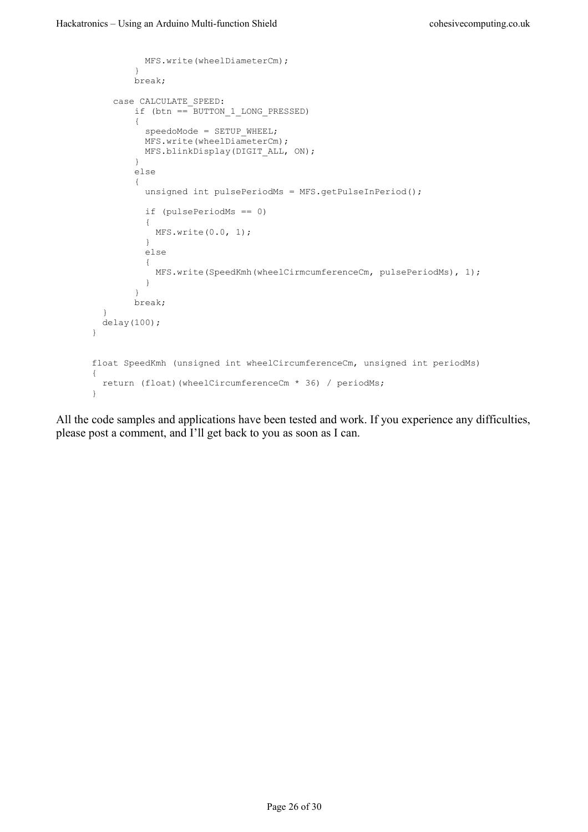```
 MFS.write(wheelDiameterCm);
 }
        break;
    case CALCULATE_SPEED:
        if (btn == BUTTON_1_LONG_PRESSED)
         {
         speedoMode = SETUP WHEEL;
         MFS.write(wheelDiameterCm);
         MFS.blinkDisplay(DIGIT ALL, ON);
         }
         else
         {
         unsigned int pulsePeriodMs = MFS.getPulseInPeriod();
          if (pulsePeriodMs == 0)
          {
         MFS.write(0.0, 1); }
          else
          {
           MFS.write(SpeedKmh(wheelCirmcumferenceCm, pulsePeriodMs), 1);
           }
 }
         break;
  }
 delay(100);
}
float SpeedKmh (unsigned int wheelCircumferenceCm, unsigned int periodMs)
{
  return (float)(wheelCircumferenceCm * 36) / periodMs;
}
```
All the code samples and applications have been tested and work. If you experience any difficulties, please post a comment, and I'll get back to you as soon as I can.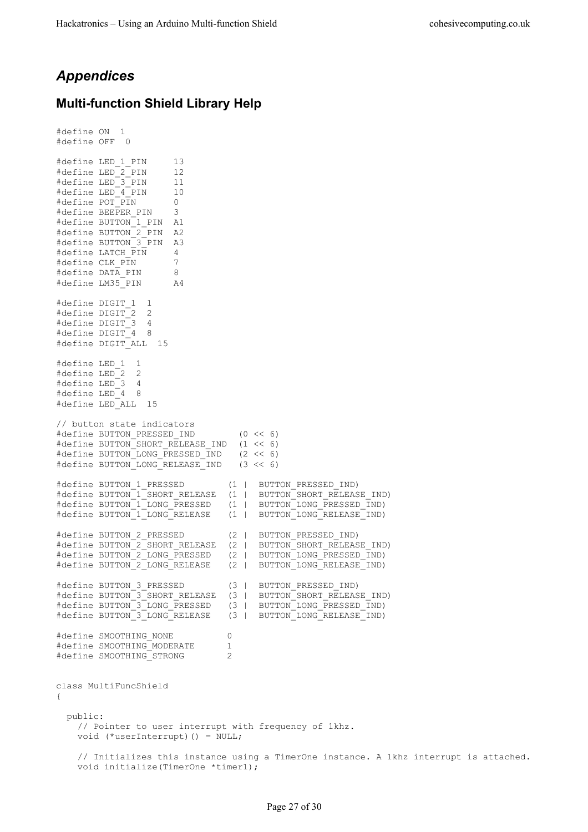## <span id="page-26-1"></span>*Appendices*

#### <span id="page-26-0"></span>**Multi-function Shield Library Help**

```
#define ON 1
#define OFF
#define LED_1_PIN 13
#define LED_2_PIN 12
#define LED_3_PIN 11
#define LED<sup>-4</sup> PIN 10
#define POT_PIN 0<br>#define BEEPER PIN 3
#define BEEPER PIN
#define BUTTON_1_PIN A1
#define BUTTON_2_PIN A2
#define BUTTON_3_PIN A3
#define LATCH PIN 4
#define CLK_PIN 7
#define DATA_PIN 8
#define LM35_PIN A4
#define DIGIT_1 1
#define DIGIT_2 2
#define DIGIT_3 4
#define DIGIT_4 8
#define DIGIT_ALL 15
#define LED_1 1
#define LED_2 2
#define LED_3 4
#define LED 4 8
#define LED_ALL 15
// button state indicators
#define BUTTON_PRESSED_IND (0 << 6)
#define BUTTON_SHORT_RELEASE_IND (1 << 6)
#define BUTTON_LONG_PRESSED_IND (2 << 6)
#define BUTTON_LONG_RELEASE_IND (3 << 6)
#define BUTTON 1 PRESSED (1 | BUTTON PRESSED IND)
#define BUTTON 1 SHORT RELEASE (1 | BUTTON SHORT RELEASE IND)
#define BUTTON_1_LONG_PRESSED (1 | BUTTON_LONG_PRESSED_IND)
#define BUTTON_1_LONG_RELEASE (1 | BUTTON_LONG_RELEASE_IND)
#define BUTTON_2_PRESSED (2 | BUTTON_PRESSED_IND)
#define BUTTON_2_SHORT_RELEASE (2 | BUTTON_SHORT_RELEASE_IND)
#define BUTTON_2_LONG_PRESSED (2 | BUTTON_LONG_PRESSED_IND)
#define BUTTON_2_LONG_RELEASE (2 | BUTTON_LONG_RELEASE_IND)
#define BUTTON_3_PRESSED (3 | BUTTON_PRESSED_IND)
#define BUTTON 3 SHORT RELEASE (3 | BUTTON SHORT RELEASE IND)
#define BUTTON_3_LONG_PRESSED (3 | BUTTON_LONG_PRESSED_IND)
#define BUTTON_3_LONG_RELEASE (3 | BUTTON_LONG_RELEASE_IND)
#define SMOOTHING_NONE 0
#define SMOOTHING_MODERATE 1<br>#define SMOOTHING_STRONG 2
#define SMOOTHING_STRONG 2
class MultiFuncShield
{
   public:
    // Pointer to user interrupt with frequency of 1khz.
    void (*userInterrupt)() = NULL;
    // Initializes this instance using a TimerOne instance. A 1khz interrupt is attached.
    void initialize(TimerOne *timer1);
```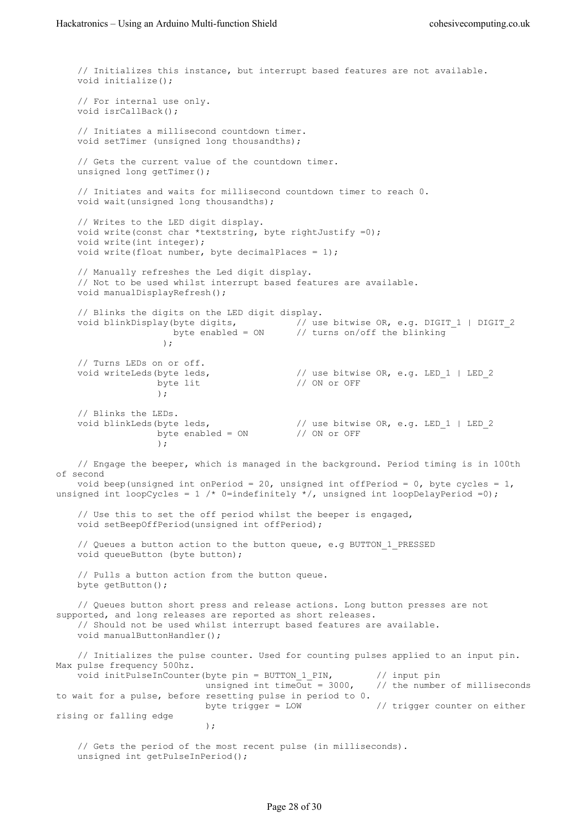// Initializes this instance, but interrupt based features are not available. void initialize(); // For internal use only. void isrCallBack(); // Initiates a millisecond countdown timer. void setTimer (unsigned long thousandths); // Gets the current value of the countdown timer. unsigned long getTimer(); // Initiates and waits for millisecond countdown timer to reach 0. void wait(unsigned long thousandths); // Writes to the LED digit display. void write(const char \*textstring, byte rightJustify =0); void write(int integer); void write(float number, byte decimalPlaces =  $1$ ); // Manually refreshes the Led digit display. // Not to be used whilst interrupt based features are available. void manualDisplayRefresh(); // Blinks the digits on the LED digit display. void blinkDisplay(byte digits, // use bitwise OR, e.g. DIGIT\_1 | DIGIT\_2 byte enabled = ON // turns on/off the blinking );  $\overline{\phantom{a}}$  // Turns LEDs on or off. void writeLeds(byte leds,  $\frac{1}{2}$  // use bitwise OR, e.g. LED\_1 | LED\_2 // ON or OFF ) : // Blinks the LEDs. void blinkLeds(byte leds, // use bitwise OR, e.g. LED\_1 | LED\_2 byte enabled = ON // ON or OFF ) : // Engage the beeper, which is managed in the background. Period timing is in 100th of second void beep (unsigned int onPeriod = 20, unsigned int offPeriod =  $0$ , byte cycles = 1, unsigned int loopCycles = 1 /\* 0=indefinitely \*/, unsigned int loopDelayPeriod =0); // Use this to set the off period whilst the beeper is engaged, void setBeepOffPeriod(unsigned int offPeriod); // Queues a button action to the button queue, e.g BUTTON\_1\_PRESSED void queueButton (byte button); // Pulls a button action from the button queue. byte getButton(); // Queues button short press and release actions. Long button presses are not supported, and long releases are reported as short releases. // Should not be used whilst interrupt based features are available. void manualButtonHandler(); // Initializes the pulse counter. Used for counting pulses applied to an input pin. Max pulse frequency 500hz. void initPulseInCounter(byte pin = BUTTON\_1\_PIN,  $\frac{1}{\sqrt{m}}$  // input pin unsigned int time0ut = 3000, // the number of milliseconds unsigned int timeOut =  $3000$ , to wait for a pulse, before resetting pulse in period to 0. byte trigger =  $LOW$  // trigger counter on either rising or falling edge  $)$  ; // Gets the period of the most recent pulse (in milliseconds). unsigned int getPulseInPeriod();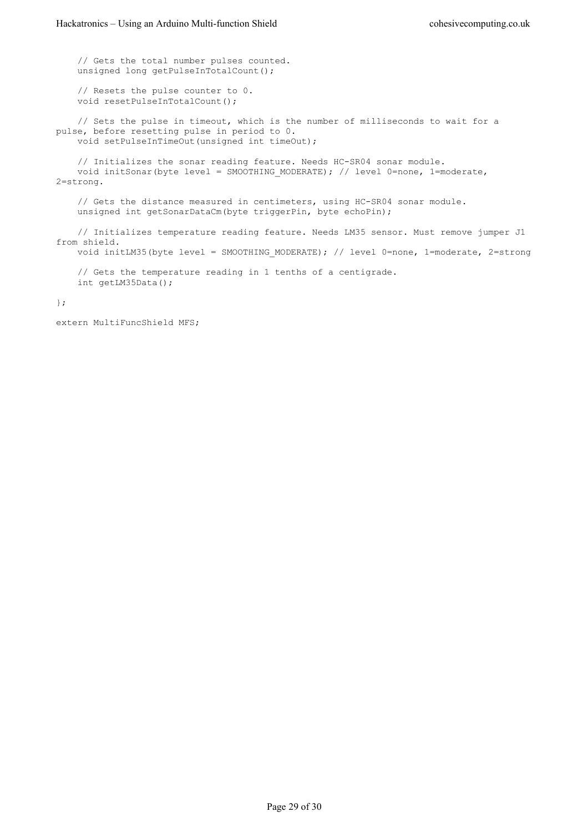// Gets the total number pulses counted. unsigned long getPulseInTotalCount(); // Resets the pulse counter to 0. void resetPulseInTotalCount(); // Sets the pulse in timeout, which is the number of milliseconds to wait for a pulse, before resetting pulse in period to 0. void setPulseInTimeOut(unsigned int timeOut); // Initializes the sonar reading feature. Needs HC-SR04 sonar module. void initSonar(byte level = SMOOTHING MODERATE); // level 0=none, 1=moderate, 2=strong. // Gets the distance measured in centimeters, using HC-SR04 sonar module. unsigned int getSonarDataCm(byte triggerPin, byte echoPin); // Initializes temperature reading feature. Needs LM35 sensor. Must remove jumper J1 from shield.

void initLM35(byte level = SMOOTHING MODERATE); // level 0=none, 1=moderate, 2=strong

 // Gets the temperature reading in 1 tenths of a centigrade. int getLM35Data();

#### };

extern MultiFuncShield MFS;